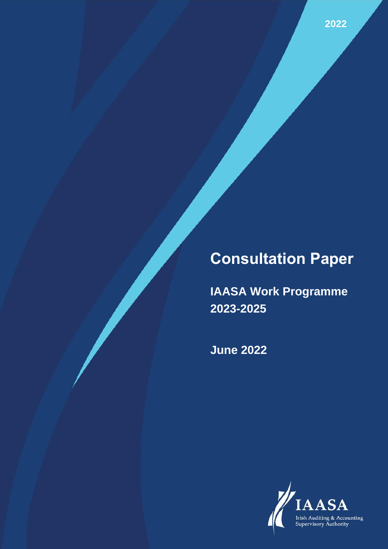# **Consultation Paper**

**IAASA Work Programme 2023-2025**

**June 2022**

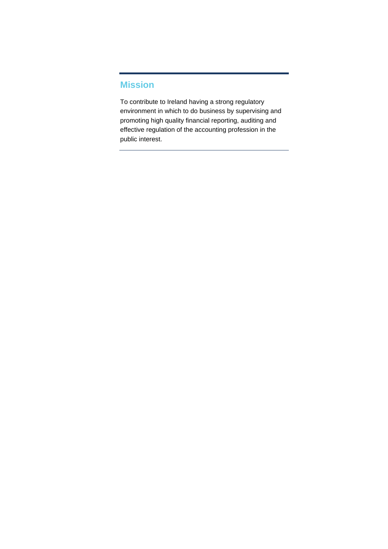#### <span id="page-1-0"></span>**Mission**

To contribute to Ireland having a strong regulatory environment in which to do business by supervising and promoting high quality financial reporting, auditing and effective regulation of the accounting profession in the public interest.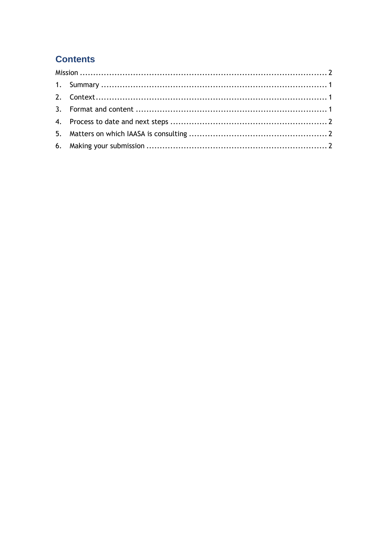# **Contents**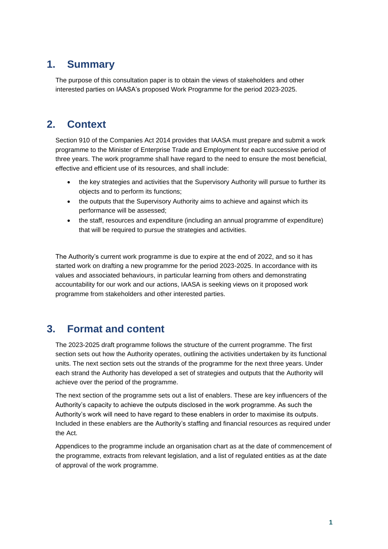### <span id="page-3-0"></span>**1. Summary**

The purpose of this consultation paper is to obtain the views of stakeholders and other interested parties on IAASA's proposed Work Programme for the period 2023-2025.

# <span id="page-3-1"></span>**2. Context**

Section 910 of the Companies Act 2014 provides that IAASA must prepare and submit a work programme to the Minister of Enterprise Trade and Employment for each successive period of three years. The work programme shall have regard to the need to ensure the most beneficial, effective and efficient use of its resources, and shall include:

- the key strategies and activities that the Supervisory Authority will pursue to further its objects and to perform its functions;
- the outputs that the Supervisory Authority aims to achieve and against which its performance will be assessed;
- the staff, resources and expenditure (including an annual programme of expenditure) that will be required to pursue the strategies and activities.

The Authority's current work programme is due to expire at the end of 2022, and so it has started work on drafting a new programme for the period 2023-2025. In accordance with its values and associated behaviours, in particular learning from others and demonstrating accountability for our work and our actions, IAASA is seeking views on it proposed work programme from stakeholders and other interested parties.

### <span id="page-3-2"></span>**3. Format and content**

The 2023-2025 draft programme follows the structure of the current programme. The first section sets out how the Authority operates, outlining the activities undertaken by its functional units. The next section sets out the strands of the programme for the next three years. Under each strand the Authority has developed a set of strategies and outputs that the Authority will achieve over the period of the programme.

The next section of the programme sets out a list of enablers. These are key influencers of the Authority's capacity to achieve the outputs disclosed in the work programme. As such the Authority's work will need to have regard to these enablers in order to maximise its outputs. Included in these enablers are the Authority's staffing and financial resources as required under the Act.

Appendices to the programme include an organisation chart as at the date of commencement of the programme, extracts from relevant legislation, and a list of regulated entities as at the date of approval of the work programme.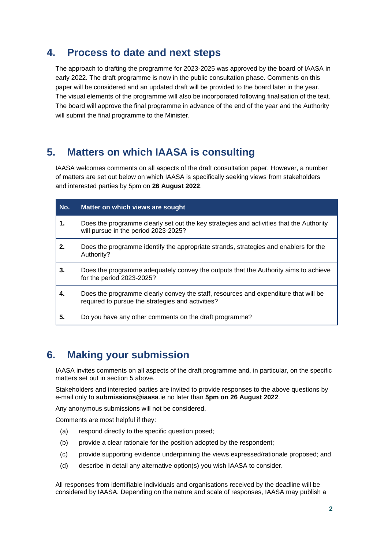### <span id="page-4-0"></span>**4. Process to date and next steps**

The approach to drafting the programme for 2023-2025 was approved by the board of IAASA in early 2022. The draft programme is now in the public consultation phase. Comments on this paper will be considered and an updated draft will be provided to the board later in the year. The visual elements of the programme will also be incorporated following finalisation of the text. The board will approve the final programme in advance of the end of the year and the Authority will submit the final programme to the Minister.

# <span id="page-4-1"></span>**5. Matters on which IAASA is consulting**

IAASA welcomes comments on all aspects of the draft consultation paper. However, a number of matters are set out below on which IAASA is specifically seeking views from stakeholders and interested parties by 5pm on **26 August 2022**.

| No. | Matter on which views are sought                                                                                                         |
|-----|------------------------------------------------------------------------------------------------------------------------------------------|
| 1.  | Does the programme clearly set out the key strategies and activities that the Authority<br>will pursue in the period 2023-2025?          |
| 2.  | Does the programme identify the appropriate strands, strategies and enablers for the<br>Authority?                                       |
| 3.  | Does the programme adequately convey the outputs that the Authority aims to achieve<br>for the period 2023-2025?                         |
| 4.  | Does the programme clearly convey the staff, resources and expenditure that will be<br>required to pursue the strategies and activities? |
| 5.  | Do you have any other comments on the draft programme?                                                                                   |

### <span id="page-4-2"></span>**6. Making your submission**

IAASA invites comments on all aspects of the draft programme and, in particular, on the specific matters set out in section 5 above.

Stakeholders and interested parties are invited to provide responses to the above questions by e-mail only to **submissions@iaasa**.ie no later than **5pm on 26 August 2022**.

Any anonymous submissions will not be considered.

Comments are most helpful if they:

- (a) respond directly to the specific question posed;
- (b) provide a clear rationale for the position adopted by the respondent;
- (c) provide supporting evidence underpinning the views expressed/rationale proposed; and
- (d) describe in detail any alternative option(s) you wish IAASA to consider.

All responses from identifiable individuals and organisations received by the deadline will be considered by IAASA. Depending on the nature and scale of responses, IAASA may publish a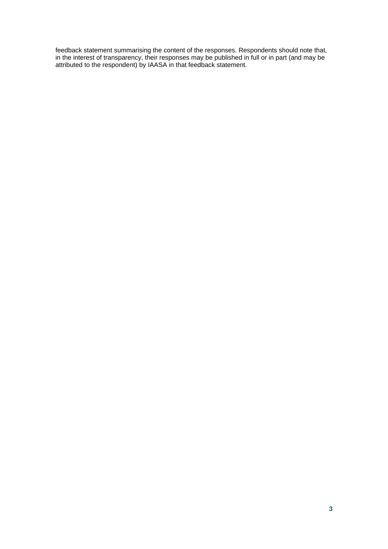feedback statement summarising the content of the responses. Respondents should note that, in the interest of transparency, their responses may be published in full or in part (and may be attributed to the respondent) by IAASA in that feedback statement.